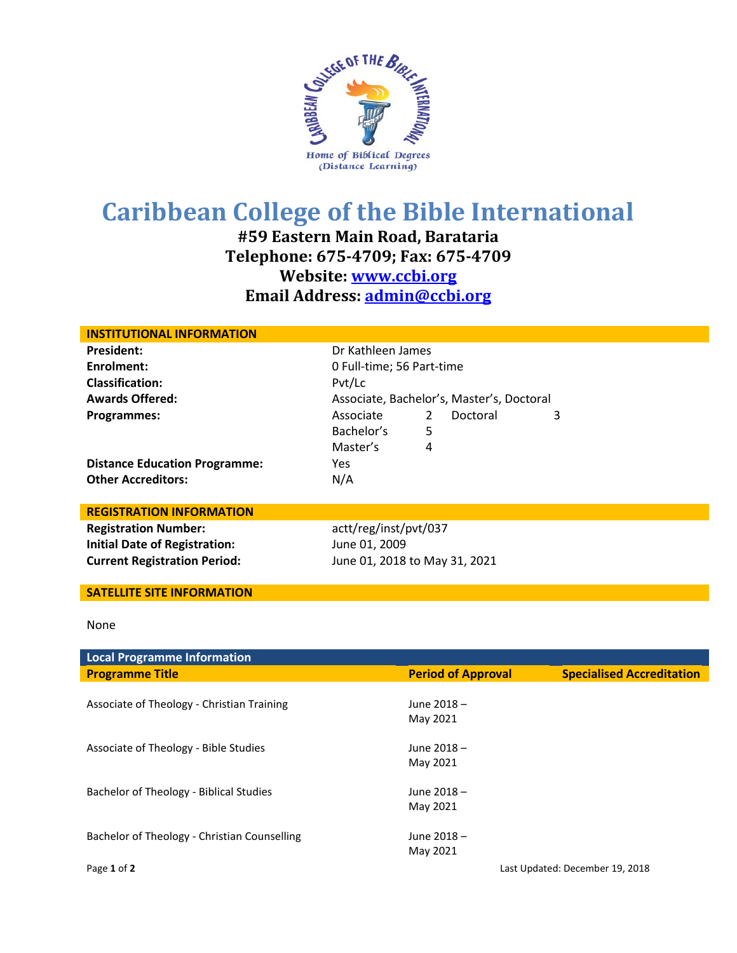

## **Caribbean College of the Bible International**

**#59 Eastern Main Road, Barataria Telephone: 675-4709; Fax: 675-4709 Website: [www.ccbi.org](http://www.ccbi.org/) Email Address: [admin@ccbi.org](mailto:admin@ccbi.org)**

| <b>INSTITUTIONAL INFORMATION</b>     |                                           |   |          |   |  |  |
|--------------------------------------|-------------------------------------------|---|----------|---|--|--|
| <b>President:</b>                    | Dr Kathleen James                         |   |          |   |  |  |
| Enrolment:                           | 0 Full-time; 56 Part-time                 |   |          |   |  |  |
| <b>Classification:</b>               | Pvt/Lc                                    |   |          |   |  |  |
| <b>Awards Offered:</b>               | Associate, Bachelor's, Master's, Doctoral |   |          |   |  |  |
| Programmes:                          | Associate                                 | 2 | Doctoral | 3 |  |  |
|                                      | Bachelor's                                | 5 |          |   |  |  |
|                                      | Master's                                  | 4 |          |   |  |  |
| <b>Distance Education Programme:</b> | Yes.                                      |   |          |   |  |  |
| <b>Other Accreditors:</b>            | N/A                                       |   |          |   |  |  |
|                                      |                                           |   |          |   |  |  |
| <b>REGISTRATION INFORMATION</b>      |                                           |   |          |   |  |  |
| <b>Registration Number:</b>          | actt/reg/inst/pvt/037                     |   |          |   |  |  |
| <b>Initial Date of Registration:</b> | June 01, 2009                             |   |          |   |  |  |

## **SATELLITE SITE INFORMATION**

**Current Registration Period:** June 01, 2018 to May 31, 2021

## None

| <b>Local Programme Information</b>           |                           |                                  |
|----------------------------------------------|---------------------------|----------------------------------|
| <b>Programme Title</b>                       | <b>Period of Approval</b> | <b>Specialised Accreditation</b> |
|                                              |                           |                                  |
| Associate of Theology - Christian Training   | June 2018 -               |                                  |
|                                              | May 2021                  |                                  |
|                                              |                           |                                  |
| Associate of Theology - Bible Studies        | June 2018 -               |                                  |
|                                              | May 2021                  |                                  |
|                                              |                           |                                  |
| Bachelor of Theology - Biblical Studies      | June 2018 -               |                                  |
|                                              | May 2021                  |                                  |
|                                              |                           |                                  |
| Bachelor of Theology - Christian Counselling | June 2018 -               |                                  |
|                                              | May 2021                  |                                  |
| Page 1 of 2                                  |                           | Last Updated: December 19, 2018  |